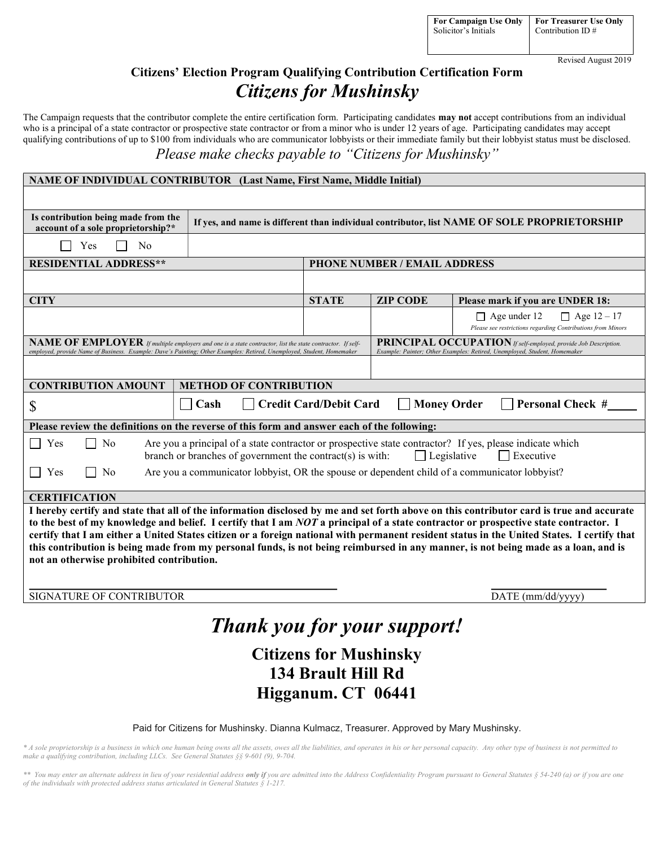Revised August 2019

# Citizens' Election Program Qualifying Contribution Certification Form Citizens for Mushinsky

The Campaign requests that the contributor complete the entire certification form. Participating candidates may not accept contributions from an individual who is a principal of a state contractor or prospective state contractor or from a minor who is under 12 years of age. Participating candidates may accept qualifying contributions of up to \$100 from individuals who are communicator lobbyists or their immediate family but their lobbyist status must be disclosed. Please make checks payable to "Citizens for Mushinsky"

| <b>NAME OF INDIVIDUAL CONTRIBUTOR (Last Name, First Name, Middle Initial)</b> |  |  |
|-------------------------------------------------------------------------------|--|--|
|                                                                               |  |  |

| Is contribution being made from the<br>account of a sole proprietorship?*                                                                                                                                                                                                                                                                                                                                                                                                                                                                                                                                         | If yes, and name is different than individual contributor, list NAME OF SOLE PROPRIETORSHIP |                                     |                 |                                                                                                          |  |  |
|-------------------------------------------------------------------------------------------------------------------------------------------------------------------------------------------------------------------------------------------------------------------------------------------------------------------------------------------------------------------------------------------------------------------------------------------------------------------------------------------------------------------------------------------------------------------------------------------------------------------|---------------------------------------------------------------------------------------------|-------------------------------------|-----------------|----------------------------------------------------------------------------------------------------------|--|--|
| Yes<br>N <sub>0</sub>                                                                                                                                                                                                                                                                                                                                                                                                                                                                                                                                                                                             |                                                                                             |                                     |                 |                                                                                                          |  |  |
| <b>RESIDENTIAL ADDRESS**</b>                                                                                                                                                                                                                                                                                                                                                                                                                                                                                                                                                                                      |                                                                                             | <b>PHONE NUMBER / EMAIL ADDRESS</b> |                 |                                                                                                          |  |  |
|                                                                                                                                                                                                                                                                                                                                                                                                                                                                                                                                                                                                                   |                                                                                             |                                     |                 |                                                                                                          |  |  |
| <b>CITY</b>                                                                                                                                                                                                                                                                                                                                                                                                                                                                                                                                                                                                       |                                                                                             | <b>STATE</b>                        | <b>ZIP CODE</b> | Please mark if you are UNDER 18:                                                                         |  |  |
|                                                                                                                                                                                                                                                                                                                                                                                                                                                                                                                                                                                                                   |                                                                                             |                                     |                 | $\Box$ Age 12 – 17<br>$\Box$ Age under 12<br>Please see restrictions regarding Contributions from Minors |  |  |
| <b>PRINCIPAL OCCUPATION</b> If self-employed, provide Job Description.<br>NAME OF EMPLOYER If multiple employers and one is a state contractor, list the state contractor. If self-<br>employed, provide Name of Business. Example: Dave's Painting; Other Examples: Retired, Unemployed, Student, Homemaker<br>Example: Painter; Other Examples: Retired, Unemployed, Student, Homemaker                                                                                                                                                                                                                         |                                                                                             |                                     |                 |                                                                                                          |  |  |
|                                                                                                                                                                                                                                                                                                                                                                                                                                                                                                                                                                                                                   |                                                                                             |                                     |                 |                                                                                                          |  |  |
| <b>CONTRIBUTION AMOUNT</b>                                                                                                                                                                                                                                                                                                                                                                                                                                                                                                                                                                                        | <b>METHOD OF CONTRIBUTION</b>                                                               |                                     |                 |                                                                                                          |  |  |
| <b>Credit Card/Debit Card</b><br><b>Money Order</b><br><b>Personal Check #</b><br>Cash<br>\$                                                                                                                                                                                                                                                                                                                                                                                                                                                                                                                      |                                                                                             |                                     |                 |                                                                                                          |  |  |
| Please review the definitions on the reverse of this form and answer each of the following:                                                                                                                                                                                                                                                                                                                                                                                                                                                                                                                       |                                                                                             |                                     |                 |                                                                                                          |  |  |
| N <sub>0</sub><br>Are you a principal of a state contractor or prospective state contractor? If yes, please indicate which<br>Yes<br>branch or branches of government the contract( $s$ ) is with:<br>$\Box$ Legislative<br>$\Box$ Executive                                                                                                                                                                                                                                                                                                                                                                      |                                                                                             |                                     |                 |                                                                                                          |  |  |
| Are you a communicator lobbyist, OR the spouse or dependent child of a communicator lobbyist?<br>Yes<br>N <sub>0</sub>                                                                                                                                                                                                                                                                                                                                                                                                                                                                                            |                                                                                             |                                     |                 |                                                                                                          |  |  |
| <b>CERTIFICATION</b>                                                                                                                                                                                                                                                                                                                                                                                                                                                                                                                                                                                              |                                                                                             |                                     |                 |                                                                                                          |  |  |
| I hereby certify and state that all of the information disclosed by me and set forth above on this contributor card is true and accurate<br>to the best of my knowledge and belief. I certify that I am NOT a principal of a state contractor or prospective state contractor. I<br>certify that I am either a United States citizen or a foreign national with permanent resident status in the United States. I certify that<br>this contribution is being made from my personal funds, is not being reimbursed in any manner, is not being made as a loan, and is<br>not an otherwise prohibited contribution. |                                                                                             |                                     |                 |                                                                                                          |  |  |

SIGNATURE OF CONTRIBUTOR  $DATE \text{ (mm/dd/yyy)}$ 

 $\overline{a}$ 

# Thank you for your support!

# Citizens for Mushinsky 134 Brault Hill Rd Higganum. CT 06441

## Paid for Citizens for Mushinsky. Dianna Kulmacz, Treasurer. Approved by Mary Mushinsky.

\* A sole proprietorship is a business in which one human being owns all the assets, owes all the liabilities, and operates in his or her personal capacity. Any other type of business is not permitted to make a qualifying contribution, including LLCs. See General Statutes §§ 9-601 (9), 9-704.

\*\* You may enter an alternate address in lieu of your residential address only if you are admitted into the Address Confidentiality Program pursuant to General Statutes § 54-240 (a) or if you are one of the individuals with protected address status articulated in General Statutes § 1-217.